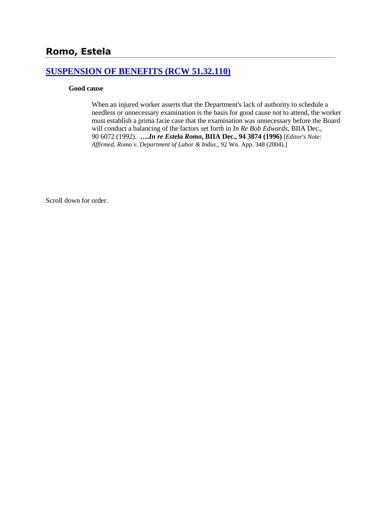## **[SUSPENSION OF BENEFITS \(RCW 51.32.110\)](http://www.biia.wa.gov/SDSubjectIndex.html#SUSPENSION_OF_BENEFITS)**

#### **Good cause**

When an injured worker asserts that the Department's lack of authority to schedule a needless or unnecessary examination is the basis for good cause not to attend, the worker must establish a prima facie case that the examination was unnecessary before the Board will conduct a balancing of the factors set forth in *In Re Bob Edwards*, BIIA Dec., 90 6072 (1992). **….***In re Estela Romo***, BIIA Dec., 94 3874 (1996)** [*Editor's Note*: *Affirmed*, *Romo v. Department of Labor & Indus.,* 92 Wn. App. 348 (2004).]

Scroll down for order.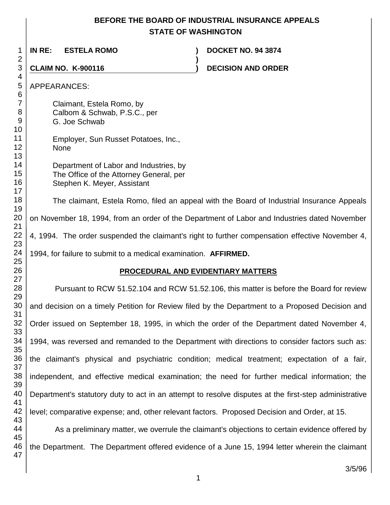# **BEFORE THE BOARD OF INDUSTRIAL INSURANCE APPEALS STATE OF WASHINGTON**

| 1<br>2                         | IN RE:<br><b>ESTELA ROMO</b>                                                                                     |  | <b>DOCKET NO. 94 3874</b>                                                                             |  |  |
|--------------------------------|------------------------------------------------------------------------------------------------------------------|--|-------------------------------------------------------------------------------------------------------|--|--|
| 3                              | <b>CLAIM NO. K-900116</b>                                                                                        |  | <b>DECISION AND ORDER</b>                                                                             |  |  |
| 4<br>5<br>6                    | <b>APPEARANCES:</b>                                                                                              |  |                                                                                                       |  |  |
| $\overline{7}$<br>8<br>9<br>10 | Claimant, Estela Romo, by<br>Calbom & Schwab, P.S.C., per<br>G. Joe Schwab                                       |  |                                                                                                       |  |  |
| 11<br>12<br>13                 | Employer, Sun Russet Potatoes, Inc.,<br>None                                                                     |  |                                                                                                       |  |  |
| 14<br>15<br>16<br>17           | Department of Labor and Industries, by<br>The Office of the Attorney General, per<br>Stephen K. Meyer, Assistant |  |                                                                                                       |  |  |
| 18<br>19                       |                                                                                                                  |  | The claimant, Estela Romo, filed an appeal with the Board of Industrial Insurance Appeals             |  |  |
| 20<br>21                       | on November 18, 1994, from an order of the Department of Labor and Industries dated November                     |  |                                                                                                       |  |  |
| 22<br>23                       |                                                                                                                  |  | 4, 1994. The order suspended the claimant's right to further compensation effective November 4,       |  |  |
| 24<br>25                       | 1994, for failure to submit to a medical examination. AFFIRMED.                                                  |  |                                                                                                       |  |  |
| 26                             |                                                                                                                  |  | PROCEDURAL AND EVIDENTIARY MATTERS                                                                    |  |  |
| 27<br>28<br>29                 |                                                                                                                  |  | Pursuant to RCW 51.52.104 and RCW 51.52.106, this matter is before the Board for review               |  |  |
| 30<br>31                       |                                                                                                                  |  | and decision on a timely Petition for Review filed by the Department to a Proposed Decision and       |  |  |
| 32<br>33                       |                                                                                                                  |  | Order issued on September 18, 1995, in which the order of the Department dated November 4,            |  |  |
| 34<br>35                       |                                                                                                                  |  | 1994, was reversed and remanded to the Department with directions to consider factors such as:        |  |  |
| 36<br>37                       |                                                                                                                  |  | the claimant's physical and psychiatric condition; medical treatment; expectation of a fair,          |  |  |
| 38<br>39                       |                                                                                                                  |  | independent, and effective medical examination; the need for further medical information; the         |  |  |
| 40<br>41                       |                                                                                                                  |  | Department's statutory duty to act in an attempt to resolve disputes at the first-step administrative |  |  |
| 42<br>43                       | level; comparative expense; and, other relevant factors. Proposed Decision and Order, at 15.                     |  |                                                                                                       |  |  |
| 44<br>45                       |                                                                                                                  |  | As a preliminary matter, we overrule the claimant's objections to certain evidence offered by         |  |  |
| 46<br>47                       |                                                                                                                  |  | the Department. The Department offered evidence of a June 15, 1994 letter wherein the claimant        |  |  |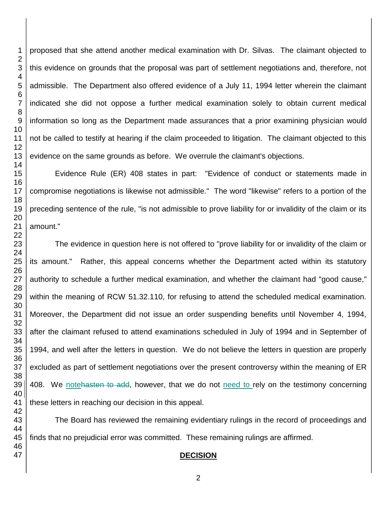proposed that she attend another medical examination with Dr. Silvas. The claimant objected to this evidence on grounds that the proposal was part of settlement negotiations and, therefore, not admissible. The Department also offered evidence of a July 11, 1994 letter wherein the claimant indicated she did not oppose a further medical examination solely to obtain current medical information so long as the Department made assurances that a prior examining physician would not be called to testify at hearing if the claim proceeded to litigation. The claimant objected to this evidence on the same grounds as before. We overrule the claimant's objections.

Evidence Rule (ER) 408 states in part: "Evidence of conduct or statements made in compromise negotiations is likewise not admissible." The word "likewise" refers to a portion of the preceding sentence of the rule, "is not admissible to prove liability for or invalidity of the claim or its

The evidence in question here is not offered to "prove liability for or invalidity of the claim or its amount." Rather, this appeal concerns whether the Department acted within its statutory authority to schedule a further medical examination, and whether the claimant had "good cause," within the meaning of RCW 51.32.110, for refusing to attend the scheduled medical examination. Moreover, the Department did not issue an order suspending benefits until November 4, 1994, after the claimant refused to attend examinations scheduled in July of 1994 and in September of 1994, and well after the letters in question. We do not believe the letters in question are properly excluded as part of settlement negotiations over the present controversy within the meaning of ER 408. We notehasten to add, however, that we do not need to rely on the testimony concerning these letters in reaching our decision in this appeal.

The Board has reviewed the remaining evidentiary rulings in the record of proceedings and finds that no prejudicial error was committed. These remaining rulings are affirmed.

## **DECISION**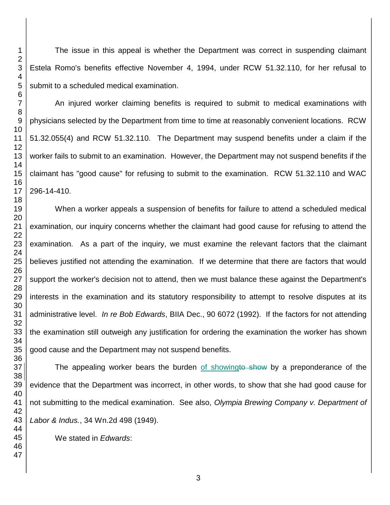The issue in this appeal is whether the Department was correct in suspending claimant Estela Romo's benefits effective November 4, 1994, under RCW 51.32.110, for her refusal to submit to a scheduled medical examination.

An injured worker claiming benefits is required to submit to medical examinations with physicians selected by the Department from time to time at reasonably convenient locations. RCW 51.32.055(4) and RCW 51.32.110. The Department may suspend benefits under a claim if the worker fails to submit to an examination. However, the Department may not suspend benefits if the claimant has "good cause" for refusing to submit to the examination. RCW 51.32.110 and WAC 296-14-410.

When a worker appeals a suspension of benefits for failure to attend a scheduled medical examination, our inquiry concerns whether the claimant had good cause for refusing to attend the examination. As a part of the inquiry, we must examine the relevant factors that the claimant believes justified not attending the examination. If we determine that there are factors that would support the worker's decision not to attend, then we must balance these against the Department's interests in the examination and its statutory responsibility to attempt to resolve disputes at its administrative level. *In re Bob Edwards*, BIIA Dec., 90 6072 (1992). If the factors for not attending the examination still outweigh any justification for ordering the examination the worker has shown good cause and the Department may not suspend benefits.

The appealing worker bears the burden of showingto show by a preponderance of the evidence that the Department was incorrect, in other words, to show that she had good cause for not submitting to the medical examination. See also, *Olympia Brewing Company v. Department of Labor & Indus.*, 34 Wn.2d 498 (1949).

We stated in *Edwards*: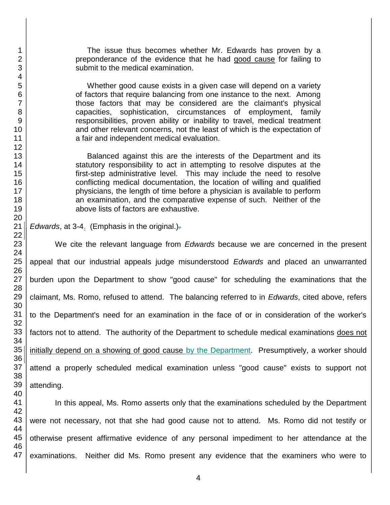The issue thus becomes whether Mr. Edwards has proven by a preponderance of the evidence that he had good cause for failing to submit to the medical examination.

Whether good cause exists in a given case will depend on a variety of factors that require balancing from one instance to the next. Among those factors that may be considered are the claimant's physical capacities, sophistication, circumstances of employment, family responsibilities, proven ability or inability to travel, medical treatment and other relevant concerns, not the least of which is the expectation of a fair and independent medical evaluation.

Balanced against this are the interests of the Department and its statutory responsibility to act in attempting to resolve disputes at the first-step administrative level. This may include the need to resolve conflicting medical documentation, the location of willing and qualified physicians, the length of time before a physician is available to perform an examination, and the comparative expense of such. Neither of the above lists of factors are exhaustive.

*Edwards*, at 3-4. (Emphasis in the original.).

We cite the relevant language from *Edwards* because we are concerned in the present appeal that our industrial appeals judge misunderstood *Edwards* and placed an unwarranted burden upon the Department to show "good cause" for scheduling the examinations that the claimant, Ms. Romo, refused to attend. The balancing referred to in *Edwards*, cited above, refers to the Department's need for an examination in the face of or in consideration of the worker's factors not to attend. The authority of the Department to schedule medical examinations does not initially depend on a showing of good cause by the Department. Presumptively, a worker should attend a properly scheduled medical examination unless "good cause" exists to support not attending.

 In this appeal, Ms. Romo asserts only that the examinations scheduled by the Department were not necessary, not that she had good cause not to attend. Ms. Romo did not testify or otherwise present affirmative evidence of any personal impediment to her attendance at the examinations. Neither did Ms. Romo present any evidence that the examiners who were to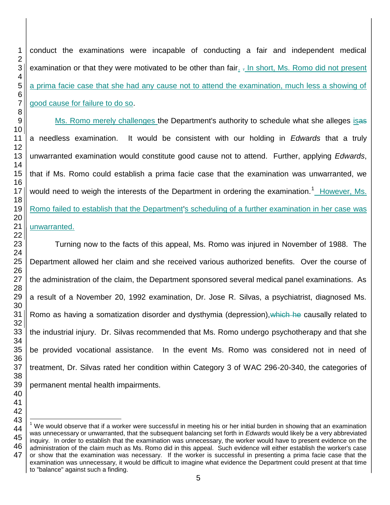conduct the examinations were incapable of conducting a fair and independent medical examination or that they were motivated to be other than fair. . In short, Ms. Romo did not present a prima facie case that she had any cause not to attend the examination, much less a showing of good cause for failure to do so.

Ms. Romo merely challenges the Department's authority to schedule what she alleges isas a needless examination. It would be consistent with our holding in *Edwards* that a truly unwarranted examination would constitute good cause not to attend. Further, applying *Edwards*, that if Ms. Romo could establish a prima facie case that the examination was unwarranted, we would need to weigh the interests of the Department in ordering the examination.<sup>1</sup> However, Ms. Romo failed to establish that the Department's scheduling of a further examination in her case was unwarranted.

Turning now to the facts of this appeal, Ms. Romo was injured in November of 1988. The Department allowed her claim and she received various authorized benefits. Over the course of the administration of the claim, the Department sponsored several medical panel examinations. As a result of a November 20, 1992 examination, Dr. Jose R. Silvas, a psychiatrist, diagnosed Ms. Romo as having a somatization disorder and dysthymia (depression), which he causally related to the industrial injury. Dr. Silvas recommended that Ms. Romo undergo psychotherapy and that she be provided vocational assistance. In the event Ms. Romo was considered not in need of treatment, Dr. Silvas rated her condition within Category 3 of WAC 296-20-340, the categories of permanent mental health impairments.

 We would observe that if a worker were successful in meeting his or her initial burden in showing that an examination was unnecessary or unwarranted, that the subsequent balancing set forth in *Edwards* would likely be a very abbreviated inquiry. In order to establish that the examination was unnecessary, the worker would have to present evidence on the administration of the claim much as Ms. Romo did in this appeal. Such evidence will either establish the worker's case or show that the examination was necessary. If the worker is successful in presenting a prima facie case that the examination was unnecessary, it would be difficult to imagine what evidence the Department could present at that time to "balance" against such a finding.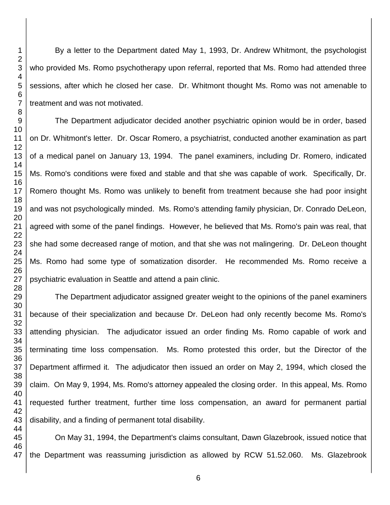By a letter to the Department dated May 1, 1993, Dr. Andrew Whitmont, the psychologist who provided Ms. Romo psychotherapy upon referral, reported that Ms. Romo had attended three sessions, after which he closed her case. Dr. Whitmont thought Ms. Romo was not amenable to treatment and was not motivated.

The Department adjudicator decided another psychiatric opinion would be in order, based on Dr. Whitmont's letter. Dr. Oscar Romero, a psychiatrist, conducted another examination as part of a medical panel on January 13, 1994. The panel examiners, including Dr. Romero, indicated Ms. Romo's conditions were fixed and stable and that she was capable of work. Specifically, Dr. Romero thought Ms. Romo was unlikely to benefit from treatment because she had poor insight and was not psychologically minded. Ms. Romo's attending family physician, Dr. Conrado DeLeon, agreed with some of the panel findings. However, he believed that Ms. Romo's pain was real, that she had some decreased range of motion, and that she was not malingering. Dr. DeLeon thought Ms. Romo had some type of somatization disorder. He recommended Ms. Romo receive a psychiatric evaluation in Seattle and attend a pain clinic.

The Department adjudicator assigned greater weight to the opinions of the panel examiners because of their specialization and because Dr. DeLeon had only recently become Ms. Romo's attending physician. The adjudicator issued an order finding Ms. Romo capable of work and terminating time loss compensation. Ms. Romo protested this order, but the Director of the Department affirmed it. The adjudicator then issued an order on May 2, 1994, which closed the claim. On May 9, 1994, Ms. Romo's attorney appealed the closing order. In this appeal, Ms. Romo requested further treatment, further time loss compensation, an award for permanent partial disability, and a finding of permanent total disability.

On May 31, 1994, the Department's claims consultant, Dawn Glazebrook, issued notice that the Department was reassuming jurisdiction as allowed by RCW 51.52.060. Ms. Glazebrook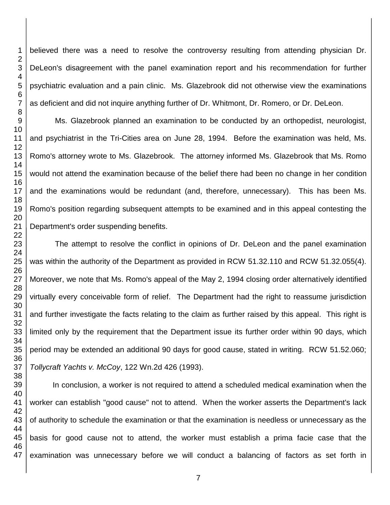believed there was a need to resolve the controversy resulting from attending physician Dr. DeLeon's disagreement with the panel examination report and his recommendation for further psychiatric evaluation and a pain clinic. Ms. Glazebrook did not otherwise view the examinations as deficient and did not inquire anything further of Dr. Whitmont, Dr. Romero, or Dr. DeLeon.

Ms. Glazebrook planned an examination to be conducted by an orthopedist, neurologist, and psychiatrist in the Tri-Cities area on June 28, 1994. Before the examination was held, Ms. Romo's attorney wrote to Ms. Glazebrook. The attorney informed Ms. Glazebrook that Ms. Romo would not attend the examination because of the belief there had been no change in her condition and the examinations would be redundant (and, therefore, unnecessary). This has been Ms. Romo's position regarding subsequent attempts to be examined and in this appeal contesting the Department's order suspending benefits.

The attempt to resolve the conflict in opinions of Dr. DeLeon and the panel examination was within the authority of the Department as provided in RCW 51.32.110 and RCW 51.32.055(4). Moreover, we note that Ms. Romo's appeal of the May 2, 1994 closing order alternatively identified virtually every conceivable form of relief. The Department had the right to reassume jurisdiction and further investigate the facts relating to the claim as further raised by this appeal. This right is limited only by the requirement that the Department issue its further order within 90 days, which period may be extended an additional 90 days for good cause, stated in writing. RCW 51.52.060; *Tollycraft Yachts v. McCoy*, 122 Wn.2d 426 (1993).

 In conclusion, a worker is not required to attend a scheduled medical examination when the worker can establish "good cause" not to attend. When the worker asserts the Department's lack of authority to schedule the examination or that the examination is needless or unnecessary as the basis for good cause not to attend, the worker must establish a prima facie case that the examination was unnecessary before we will conduct a balancing of factors as set forth in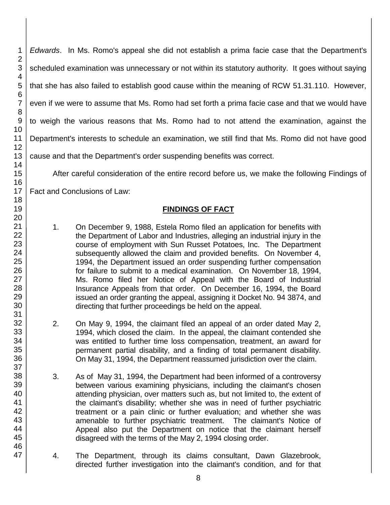*Edwards*. In Ms. Romo's appeal she did not establish a prima facie case that the Department's scheduled examination was unnecessary or not within its statutory authority. It goes without saying that she has also failed to establish good cause within the meaning of RCW 51.31.110. However, even if we were to assume that Ms. Romo had set forth a prima facie case and that we would have to weigh the various reasons that Ms. Romo had to not attend the examination, against the Department's interests to schedule an examination, we still find that Ms. Romo did not have good cause and that the Department's order suspending benefits was correct. After careful consideration of the entire record before us, we make the following Findings of

Fact and Conclusions of Law:

# **FINDINGS OF FACT**

- 1. On December 9, 1988, Estela Romo filed an application for benefits with the Department of Labor and Industries, alleging an industrial injury in the course of employment with Sun Russet Potatoes, Inc. The Department subsequently allowed the claim and provided benefits. On November 4, 1994, the Department issued an order suspending further compensation for failure to submit to a medical examination. On November 18, 1994, Ms. Romo filed her Notice of Appeal with the Board of Industrial Insurance Appeals from that order. On December 16, 1994, the Board issued an order granting the appeal, assigning it Docket No. 94 3874, and directing that further proceedings be held on the appeal.
- 2. On May 9, 1994, the claimant filed an appeal of an order dated May 2, 1994, which closed the claim. In the appeal, the claimant contended she was entitled to further time loss compensation, treatment, an award for permanent partial disability, and a finding of total permanent disability. On May 31, 1994, the Department reassumed jurisdiction over the claim.
- 3. As of May 31, 1994, the Department had been informed of a controversy between various examining physicians, including the claimant's chosen attending physician, over matters such as, but not limited to, the extent of the claimant's disability; whether she was in need of further psychiatric treatment or a pain clinic or further evaluation; and whether she was amenable to further psychiatric treatment. The claimant's Notice of Appeal also put the Department on notice that the claimant herself disagreed with the terms of the May 2, 1994 closing order.
- 4. The Department, through its claims consultant, Dawn Glazebrook, directed further investigation into the claimant's condition, and for that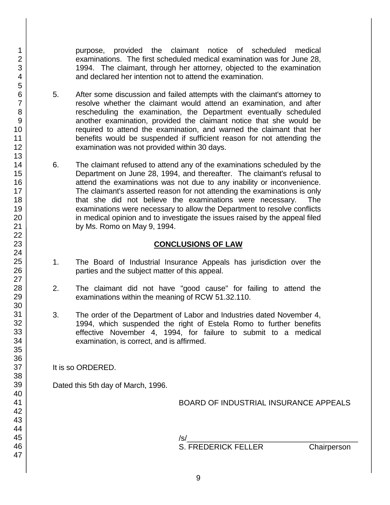purpose, provided the claimant notice of scheduled medical examinations. The first scheduled medical examination was for June 28, 1994. The claimant, through her attorney, objected to the examination and declared her intention not to attend the examination.

- 5. After some discussion and failed attempts with the claimant's attorney to resolve whether the claimant would attend an examination, and after rescheduling the examination, the Department eventually scheduled another examination, provided the claimant notice that she would be required to attend the examination, and warned the claimant that her benefits would be suspended if sufficient reason for not attending the examination was not provided within 30 days.
- 6. The claimant refused to attend any of the examinations scheduled by the Department on June 28, 1994, and thereafter. The claimant's refusal to attend the examinations was not due to any inability or inconvenience. The claimant's asserted reason for not attending the examinations is only that she did not believe the examinations were necessary. The examinations were necessary to allow the Department to resolve conflicts in medical opinion and to investigate the issues raised by the appeal filed by Ms. Romo on May 9, 1994.

#### **CONCLUSIONS OF LAW**

- 1. The Board of Industrial Insurance Appeals has jurisdiction over the parties and the subject matter of this appeal.
- 2. The claimant did not have "good cause" for failing to attend the examinations within the meaning of RCW 51.32.110.
- 3. The order of the Department of Labor and Industries dated November 4, 1994, which suspended the right of Estela Romo to further benefits effective November 4, 1994, for failure to submit to a medical examination, is correct, and is affirmed.

It is so ORDERED.

Dated this 5th day of March, 1996.

BOARD OF INDUSTRIAL INSURANCE APPEALS

/s/\_\_\_\_\_\_\_\_\_\_\_\_\_\_\_\_\_\_\_\_\_\_\_\_\_\_\_\_\_\_\_\_\_\_\_\_\_\_\_\_ S. FREDERICK FELLER Chairperson